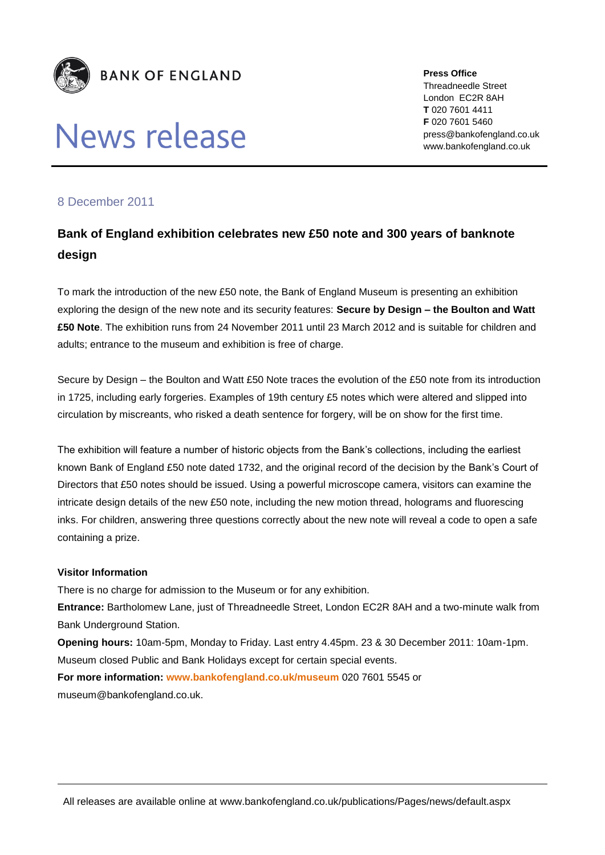

# News release

**Press Office** Threadneedle Street London EC2R 8AH **T** 020 7601 4411 **F** 020 7601 5460 press@bankofengland.co.uk www.bankofengland.co.uk

## 8 December 2011

## **Bank of England exhibition celebrates new £50 note and 300 years of banknote design**

To mark the introduction of the new £50 note, the Bank of England Museum is presenting an exhibition exploring the design of the new note and its security features: **Secure by Design – the Boulton and Watt £50 Note**. The exhibition runs from 24 November 2011 until 23 March 2012 and is suitable for children and adults; entrance to the museum and exhibition is free of charge.

Secure by Design – the Boulton and Watt £50 Note traces the evolution of the £50 note from its introduction in 1725, including early forgeries. Examples of 19th century £5 notes which were altered and slipped into circulation by miscreants, who risked a death sentence for forgery, will be on show for the first time.

The exhibition will feature a number of historic objects from the Bank's collections, including the earliest known Bank of England £50 note dated 1732, and the original record of the decision by the Bank's Court of Directors that £50 notes should be issued. Using a powerful microscope camera, visitors can examine the intricate design details of the new £50 note, including the new motion thread, holograms and fluorescing inks. For children, answering three questions correctly about the new note will reveal a code to open a safe containing a prize.

### **Visitor Information**

There is no charge for admission to the Museum or for any exhibition.

**Entrance:** Bartholomew Lane, just of Threadneedle Street, London EC2R 8AH and a two-minute walk from Bank Underground Station.

**Opening hours:** 10am-5pm, Monday to Friday. Last entry 4.45pm. 23 & 30 December 2011: 10am-1pm. Museum closed Public and Bank Holidays except for certain special events.

**For more information: [www.bankofengland.co.uk/museum](file:///C:/Users/323742/Desktop/www.bankofengland.co.uk/museum)** 020 7601 5545 or

museum@bankofengland.co.uk.